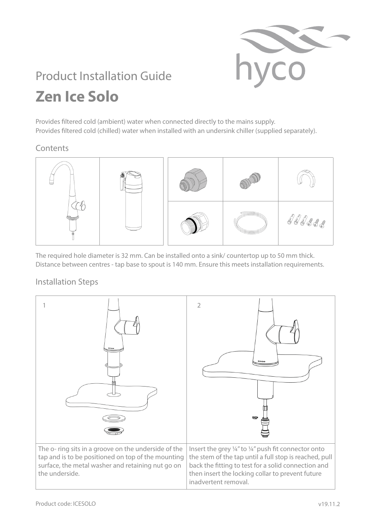

## Product Installation Guide **Zen Ice Solo**

Provides filtered cold (ambient) water when connected directly to the mains supply. Provides filtered cold (chilled) water when installed with an undersink chiller (supplied separately).

## Contents



The required hole diameter is 32 mm. Can be installed onto a sink/ countertop up to 50 mm thick. Distance between centres - tap base to spout is 140 mm. Ensure this meets installation requirements.

## Installation Steps